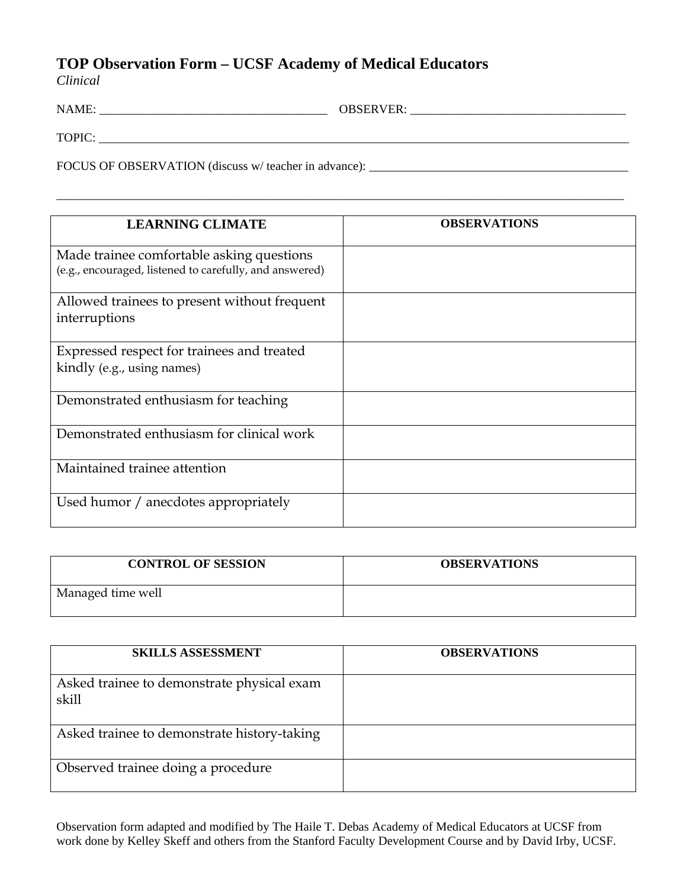## **TOP Observation Form – UCSF Academy of Medical Educators**

*Clinical* 

| NAME:                                                 | <b>OBSERVER:</b> |
|-------------------------------------------------------|------------------|
| TOPIC:                                                |                  |
| FOCUS OF OBSERVATION (discuss w/ teacher in advance): |                  |

\_\_\_\_\_\_\_\_\_\_\_\_\_\_\_\_\_\_\_\_\_\_\_\_\_\_\_\_\_\_\_\_\_\_\_\_\_\_\_\_\_\_\_\_\_\_\_\_\_\_\_\_\_\_\_\_\_\_\_\_\_\_\_\_\_\_\_\_\_\_\_\_\_\_\_\_\_\_\_\_\_\_\_\_\_\_\_\_\_\_\_\_

| <b>LEARNING CLIMATE</b>                                                                              | <b>OBSERVATIONS</b> |
|------------------------------------------------------------------------------------------------------|---------------------|
| Made trainee comfortable asking questions<br>(e.g., encouraged, listened to carefully, and answered) |                     |
| Allowed trainees to present without frequent<br>interruptions                                        |                     |
| Expressed respect for trainees and treated<br>kindly (e.g., using names)                             |                     |
| Demonstrated enthusiasm for teaching                                                                 |                     |
| Demonstrated enthusiasm for clinical work                                                            |                     |
| Maintained trainee attention                                                                         |                     |
| Used humor / anecdotes appropriately                                                                 |                     |

| <b>CONTROL OF SESSION</b> | <b>OBSERVATIONS</b> |
|---------------------------|---------------------|
| Managed time well         |                     |

| <b>SKILLS ASSESSMENT</b>                            | <b>OBSERVATIONS</b> |
|-----------------------------------------------------|---------------------|
| Asked trainee to demonstrate physical exam<br>skill |                     |
| Asked trainee to demonstrate history-taking         |                     |
| Observed trainee doing a procedure                  |                     |

Observation form adapted and modified by The Haile T. Debas Academy of Medical Educators at UCSF from work done by Kelley Skeff and others from the Stanford Faculty Development Course and by David Irby, UCSF.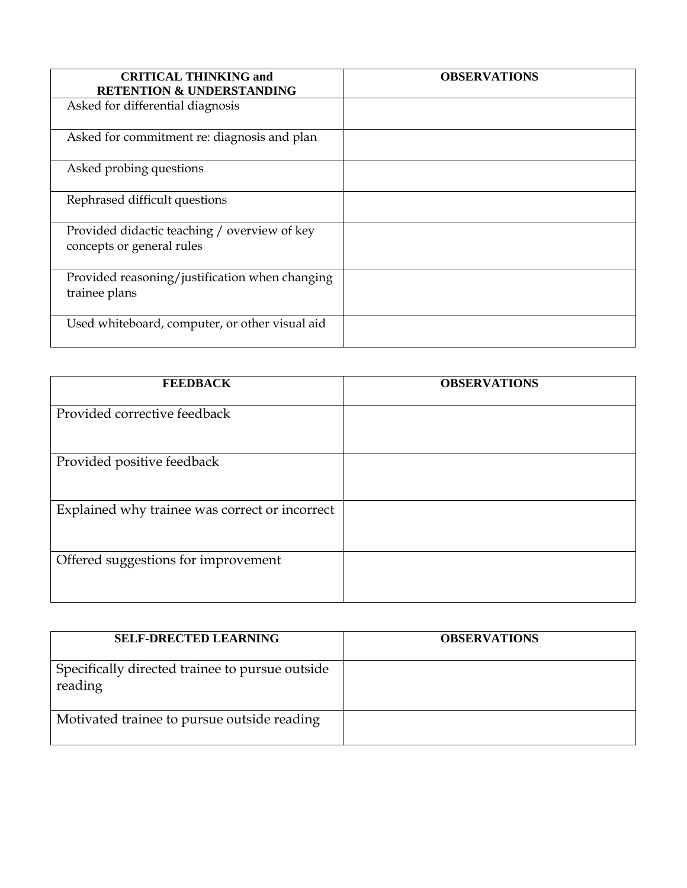| <b>CRITICAL THINKING and</b><br><b>RETENTION &amp; UNDERSTANDING</b>      | <b>OBSERVATIONS</b> |
|---------------------------------------------------------------------------|---------------------|
| Asked for differential diagnosis                                          |                     |
| Asked for commitment re: diagnosis and plan                               |                     |
| Asked probing questions                                                   |                     |
| Rephrased difficult questions                                             |                     |
| Provided didactic teaching / overview of key<br>concepts or general rules |                     |
| Provided reasoning/justification when changing<br>trainee plans           |                     |
| Used whiteboard, computer, or other visual aid                            |                     |

| <b>FEEDBACK</b>                                | <b>OBSERVATIONS</b> |
|------------------------------------------------|---------------------|
| Provided corrective feedback                   |                     |
| Provided positive feedback                     |                     |
| Explained why trainee was correct or incorrect |                     |
| Offered suggestions for improvement            |                     |

| <b>SELF-DRECTED LEARNING</b>                               | <b>OBSERVATIONS</b> |
|------------------------------------------------------------|---------------------|
| Specifically directed trainee to pursue outside<br>reading |                     |
| Motivated trainee to pursue outside reading                |                     |